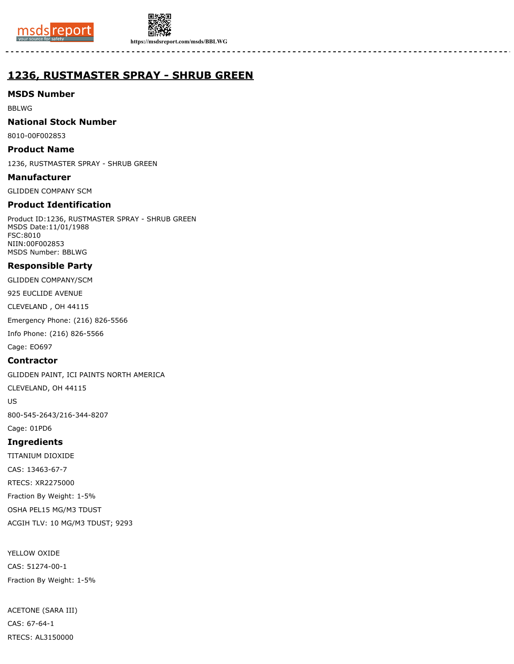



# **1236, RUSTMASTER SPRAY - SHRUB GREEN**

## **MSDS Number**

BBLWG

## **National Stock Number**

8010-00F002853

### **Product Name**

1236, RUSTMASTER SPRAY - SHRUB GREEN

**Manufacturer**

GLIDDEN COMPANY SCM

## **Product Identification**

Product ID:1236, RUSTMASTER SPRAY - SHRUB GREEN MSDS Date:11/01/1988 FSC:8010 NIIN:00F002853 MSDS Number: BBLWG

## **Responsible Party**

GLIDDEN COMPANY/SCM

925 EUCLIDE AVENUE

CLEVELAND , OH 44115

Emergency Phone: (216) 826-5566

Info Phone: (216) 826-5566

Cage: EO697

## **Contractor**

GLIDDEN PAINT, ICI PAINTS NORTH AMERICA

CLEVELAND, OH 44115

US

800-545-2643/216-344-8207

Cage: 01PD6

## **Ingredients**

TITANIUM DIOXIDE CAS: 13463-67-7 RTECS: XR2275000 Fraction By Weight: 1-5% OSHA PEL15 MG/M3 TDUST ACGIH TLV: 10 MG/M3 TDUST; 9293

YELLOW OXIDE CAS: 51274-00-1 Fraction By Weight: 1-5%

ACETONE (SARA III) CAS: 67-64-1 RTECS: AL3150000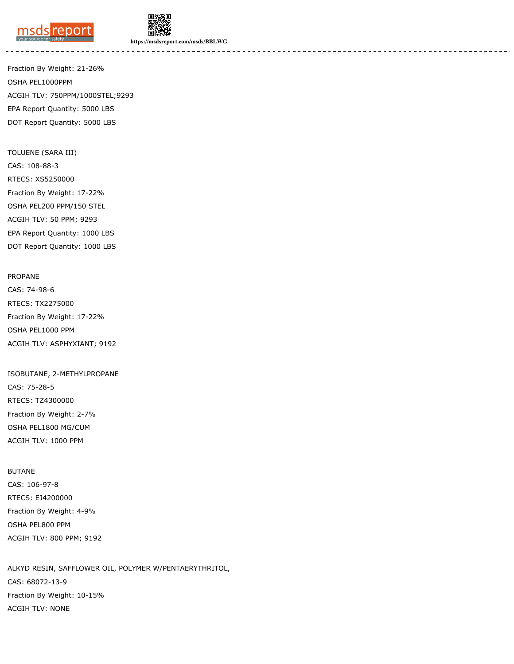



Fraction By Weight: 21-26% OSHA PEL1000PPM ACGIH TLV: 750PPM/1000STEL;9293 EPA Report Quantity: 5000 LBS DOT Report Quantity: 5000 LBS

TOLUENE (SARA III) CAS: 108-88-3 RTECS: XS5250000 Fraction By Weight: 17-22% OSHA PEL200 PPM/150 STEL ACGIH TLV: 50 PPM; 9293 EPA Report Quantity: 1000 LBS DOT Report Quantity: 1000 LBS

PROPANE CAS: 74-98-6 RTECS: TX2275000 Fraction By Weight: 17-22% OSHA PEL1000 PPM ACGIH TLV: ASPHYXIANT; 9192

ISOBUTANE, 2-METHYLPROPANE CAS: 75-28-5 RTECS: TZ4300000 Fraction By Weight: 2-7% OSHA PEL1800 MG/CUM ACGIH TLV: 1000 PPM

BUTANE CAS: 106-97-8 RTECS: EJ4200000 Fraction By Weight: 4-9% OSHA PEL800 PPM ACGIH TLV: 800 PPM; 9192

ALKYD RESIN, SAFFLOWER OIL, POLYMER W/PENTAERYTHRITOL, CAS: 68072-13-9 Fraction By Weight: 10-15% ACGIH TLV: NONE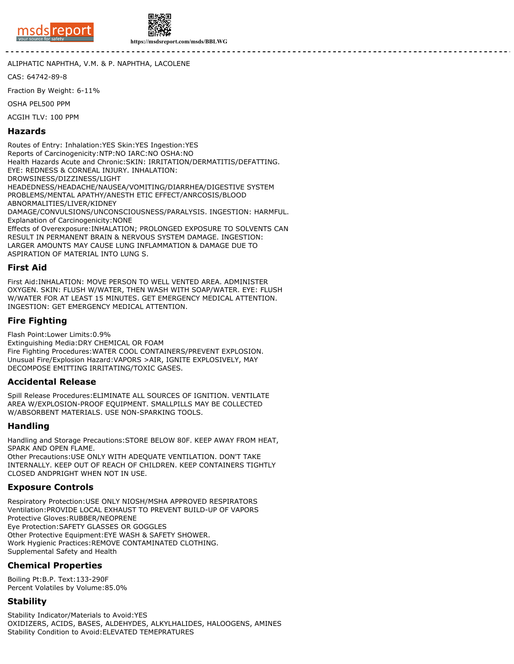



ALIPHATIC NAPHTHA, V.M. & P. NAPHTHA, LACOLENE

CAS: 64742-89-8

Fraction By Weight: 6-11%

OSHA PEL500 PPM

ACGIH TLV: 100 PPM

#### **Hazards**

Routes of Entry: Inhalation:YES Skin:YES Ingestion:YES Reports of Carcinogenicity:NTP:NO IARC:NO OSHA:NO Health Hazards Acute and Chronic:SKIN: IRRITATION/DERMATITIS/DEFATTING. EYE: REDNESS & CORNEAL INJURY. INHALATION: DROWSINESS/DIZZINESS/LIGHT HEADEDNESS/HEADACHE/NAUSEA/VOMITING/DIARRHEA/DIGESTIVE SYSTEM PROBLEMS/MENTAL APATHY/ANESTH ETIC EFFECT/ANRCOSIS/BLOOD ABNORMALITIES/LIVER/KIDNEY DAMAGE/CONVULSIONS/UNCONSCIOUSNESS/PARALYSIS. INGESTION: HARMFUL. Explanation of Carcinogenicity:NONE Effects of Overexposure:INHALATION; PROLONGED EXPOSURE TO SOLVENTS CAN RESULT IN PERMANENT BRAIN & NERVOUS SYSTEM DAMAGE. INGESTION: LARGER AMOUNTS MAY CAUSE LUNG INFLAMMATION & DAMAGE DUE TO ASPIRATION OF MATERIAL INTO LUNG S.

#### **First Aid**

First Aid:INHALATION: MOVE PERSON TO WELL VENTED AREA. ADMINISTER OXYGEN. SKIN: FLUSH W/WATER, THEN WASH WITH SOAP/WATER. EYE: FLUSH W/WATER FOR AT LEAST 15 MINUTES. GET EMERGENCY MEDICAL ATTENTION. INGESTION: GET EMERGENCY MEDICAL ATTENTION.

## **Fire Fighting**

Flash Point:Lower Limits:0.9%

Extinguishing Media:DRY CHEMICAL OR FOAM Fire Fighting Procedures:WATER COOL CONTAINERS/PREVENT EXPLOSION. Unusual Fire/Explosion Hazard:VAPORS >AIR, IGNITE EXPLOSIVELY, MAY DECOMPOSE EMITTING IRRITATING/TOXIC GASES.

#### **Accidental Release**

Spill Release Procedures:ELIMINATE ALL SOURCES OF IGNITION. VENTILATE AREA W/EXPLOSION-PROOF EQUIPMENT. SMALLPILLS MAY BE COLLECTED W/ABSORBENT MATERIALS. USE NON-SPARKING TOOLS.

#### **Handling**

Handling and Storage Precautions:STORE BELOW 80F. KEEP AWAY FROM HEAT, SPARK AND OPEN FLAME.

Other Precautions:USE ONLY WITH ADEQUATE VENTILATION. DON'T TAKE INTERNALLY. KEEP OUT OF REACH OF CHILDREN. KEEP CONTAINERS TIGHTLY CLOSED ANDPRIGHT WHEN NOT IN USE.

#### **Exposure Controls**

Respiratory Protection:USE ONLY NIOSH/MSHA APPROVED RESPIRATORS Ventilation:PROVIDE LOCAL EXHAUST TO PREVENT BUILD-UP OF VAPORS Protective Gloves:RUBBER/NEOPRENE Eye Protection:SAFETY GLASSES OR GOGGLES Other Protective Equipment:EYE WASH & SAFETY SHOWER. Work Hygienic Practices:REMOVE CONTAMINATED CLOTHING. Supplemental Safety and Health

#### **Chemical Properties**

Boiling Pt:B.P. Text:133-290F Percent Volatiles by Volume:85.0%

#### **Stability**

Stability Indicator/Materials to Avoid:YES OXIDIZERS, ACIDS, BASES, ALDEHYDES, ALKYLHALIDES, HALOOGENS, AMINES Stability Condition to Avoid:ELEVATED TEMEPRATURES